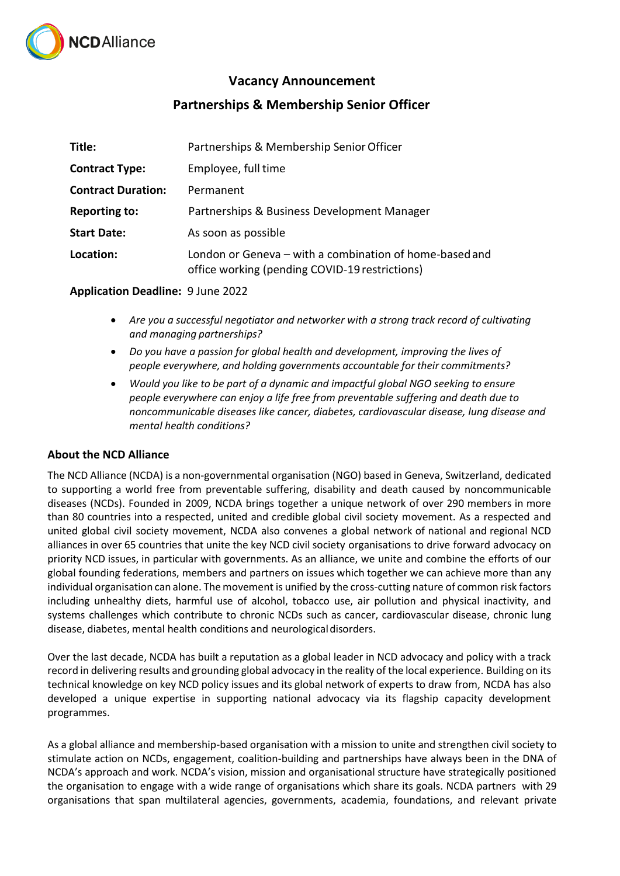

# **Vacancy Announcement**

# **Partnerships & Membership Senior Officer**

| Title:                    | Partnerships & Membership Senior Officer                                                                  |
|---------------------------|-----------------------------------------------------------------------------------------------------------|
| <b>Contract Type:</b>     | Employee, full time                                                                                       |
| <b>Contract Duration:</b> | Permanent                                                                                                 |
| <b>Reporting to:</b>      | Partnerships & Business Development Manager                                                               |
| <b>Start Date:</b>        | As soon as possible                                                                                       |
| Location:                 | London or Geneva – with a combination of home-based and<br>office working (pending COVID-19 restrictions) |

### **Application Deadline:** 9 June 2022

- *Are you a successful negotiator and networker with a strong track record of cultivating and managing partnerships?*
- *Do you have a passion for global health and development, improving the lives of people everywhere, and holding governments accountable for their commitments?*
- *Would you like to be part of a dynamic and impactful global NGO seeking to ensure people everywhere can enjoy a life free from preventable suffering and death due to noncommunicable diseases like cancer, diabetes, cardiovascular disease, lung disease and mental health conditions?*

## **About the NCD Alliance**

The NCD Alliance (NCDA) is a non-governmental organisation (NGO) based in Geneva, Switzerland, dedicated to supporting a world free from preventable suffering, disability and death caused by noncommunicable diseases (NCDs). Founded in 2009, NCDA brings together a unique network of over 290 members in more than 80 countries into a respected, united and credible global civil society movement. As a respected and united global civil society movement, NCDA also convenes a global network of national and regional NCD alliances in over 65 countries that unite the key NCD civil society organisations to drive forward advocacy on priority NCD issues, in particular with governments. As an alliance, we unite and combine the efforts of our global founding federations, members and partners on issues which together we can achieve more than any individual organisation can alone. The movement is unified by the cross-cutting nature of common risk factors including unhealthy diets, harmful use of alcohol, tobacco use, air pollution and physical inactivity, and systems challenges which contribute to chronic NCDs such as cancer, cardiovascular disease, chronic lung disease, diabetes, mental health conditions and neurologicaldisorders.

Over the last decade, NCDA has built a reputation as a global leader in NCD advocacy and policy with a track record in delivering results and grounding global advocacy in the reality of the local experience. Building on its technical knowledge on key NCD policy issues and its global network of experts to draw from, NCDA has also developed a unique expertise in supporting national advocacy via its flagship capacity development programmes.

As a global alliance and membership-based organisation with a mission to unite and strengthen civil society to stimulate action on NCDs, engagement, coalition-building and partnerships have always been in the DNA of NCDA's approach and work. NCDA's vision, mission and organisational structure have strategically positioned the organisation to engage with a wide range of organisations which share its goals. NCDA partners with 29 organisations that span multilateral agencies, governments, academia, foundations, and relevant private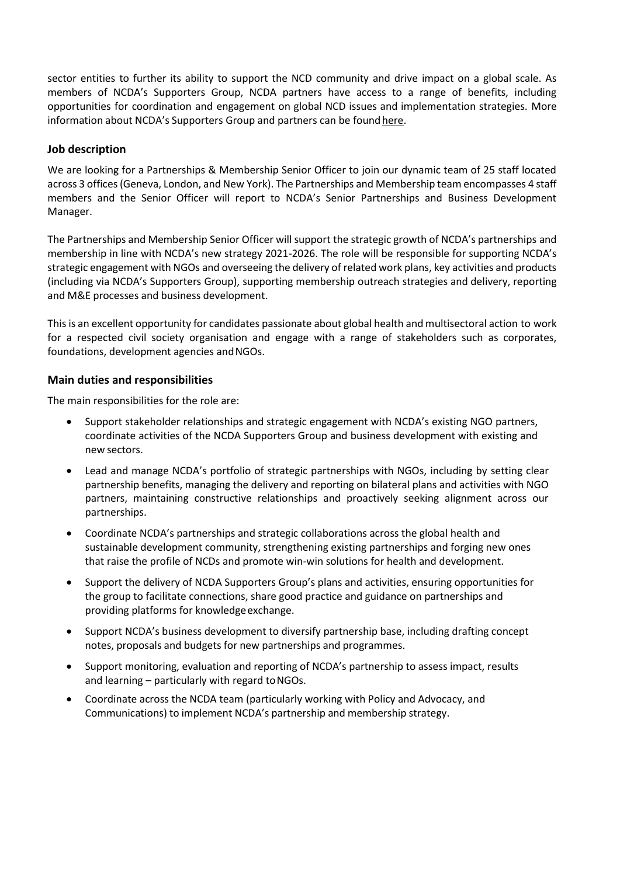sector entities to further its ability to support the NCD community and drive impact on a global scale. As members of NCDA's Supporters Group, NCDA partners have access to a range of benefits, including opportunities for coordination and engagement on global NCD issues and implementation strategies. More information about NCDA's Supporters Group and partners can be found here.

## **Job description**

We are looking for a Partnerships & Membership Senior Officer to join our dynamic team of 25 staff located across 3 offices (Geneva, London, and New York). The Partnerships and Membership team encompasses 4 staff members and the Senior Officer will report to NCDA's Senior Partnerships and Business Development Manager.

The Partnerships and Membership Senior Officer will support the strategic growth of NCDA's partnerships and membership in line with NCDA's new strategy 2021-2026. The role will be responsible for supporting NCDA's strategic engagement with NGOs and overseeing the delivery of related work plans, key activities and products (including via NCDA's Supporters Group), supporting membership outreach strategies and delivery, reporting and M&E processes and business development.

This is an excellent opportunity for candidates passionate about global health and multisectoral action to work for a respected civil society organisation and engage with a range of stakeholders such as corporates, foundations, development agencies and NGOs.

# **Main duties and responsibilities**

The main responsibilities for the role are:

- Support stakeholder relationships and strategic engagement with NCDA's existing NGO partners, coordinate activities of the NCDA Supporters Group and business development with existing and new sectors.
- Lead and manage NCDA's portfolio of strategic partnerships with NGOs, including by setting clear partnership benefits, managing the delivery and reporting on bilateral plans and activities with NGO partners, maintaining constructive relationships and proactively seeking alignment across our partnerships.
- Coordinate NCDA's partnerships and strategic collaborations across the global health and sustainable development community, strengthening existing partnerships and forging new ones that raise the profile of NCDs and promote win-win solutions for health and development.
- Support the delivery of NCDA Supporters Group's plans and activities, ensuring opportunities for the group to facilitate connections, share good practice and guidance on partnerships and providing platforms for knowledgeexchange.
- Support NCDA's business development to diversify partnership base, including drafting concept notes, proposals and budgets for new partnerships and programmes.
- Support monitoring, evaluation and reporting of NCDA's partnership to assess impact, results and learning – particularly with regard toNGOs.
- Coordinate across the NCDA team (particularly working with Policy and Advocacy, and Communications) to implement NCDA's partnership and membership strategy.